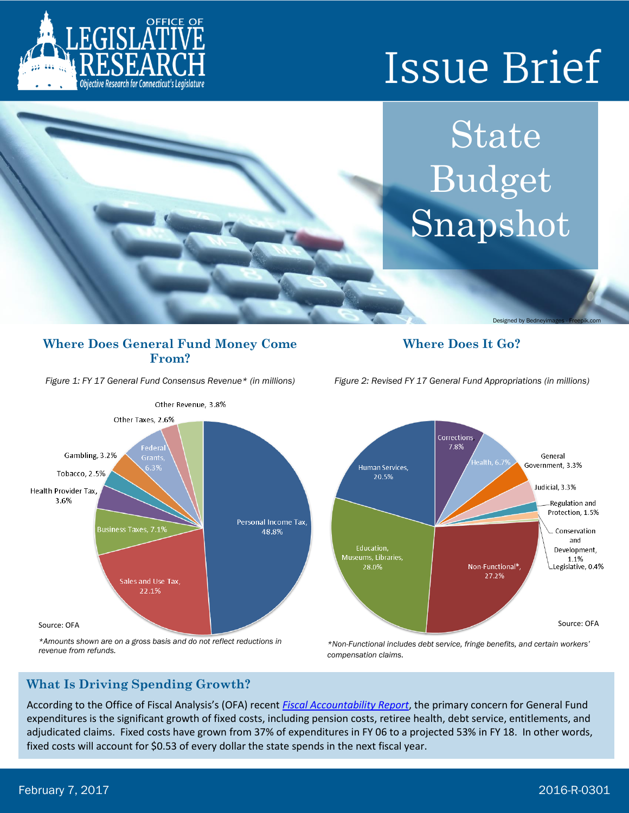

# **Issue Brief**

State Budget Snapshot

Designed by Bedneyimages - Freepik.com

#### **Where Does General Fund Money Come From?**

*Figure 1: FY 17 General Fund Consensus Revenue\* (in millions)*

### **Where Does It Go?**





## **What Is Driving Spending Growth?**

According to the Office of Fiscal Analysis's (OFA) recent *[Fiscal Accountability Report](https://www.cga.ct.gov/ofa/Documents/year/FF/2017FF-20161130_Fiscal%20Accountability%20Presentation%20FY%2017%20-%20FY%2020.pdf)*, the primary concern for General Fund expenditures is the significant growth of fixed costs, including pension costs, retiree health, debt service, entitlements, and adjudicated claims. Fixed costs have grown from 37% of expenditures in FY 06 to a projected 53% in FY 18. In other words, fixed costs will account for \$0.53 of every dollar the state spends in the next fiscal year.